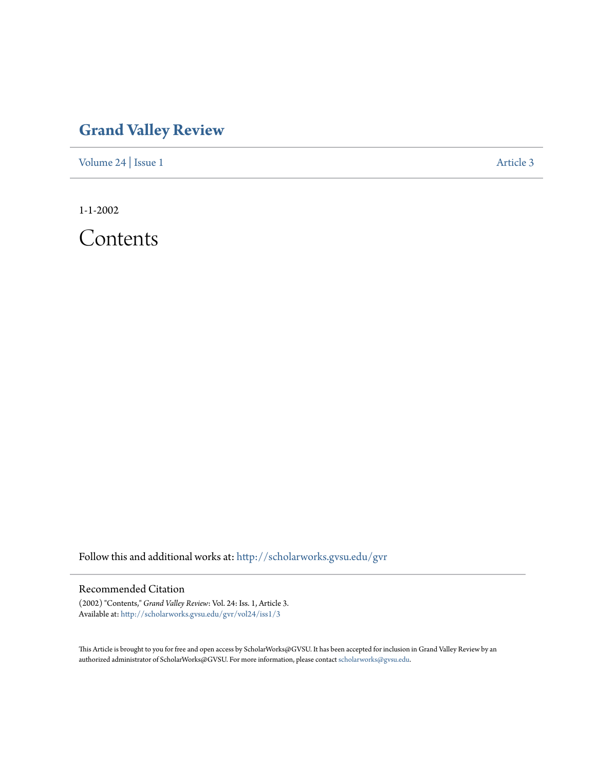## **[Grand Valley Review](http://scholarworks.gvsu.edu/gvr?utm_source=scholarworks.gvsu.edu%2Fgvr%2Fvol24%2Fiss1%2F3&utm_medium=PDF&utm_campaign=PDFCoverPages)**

[Volume 24](http://scholarworks.gvsu.edu/gvr/vol24?utm_source=scholarworks.gvsu.edu%2Fgvr%2Fvol24%2Fiss1%2F3&utm_medium=PDF&utm_campaign=PDFCoverPages) | [Issue 1](http://scholarworks.gvsu.edu/gvr/vol24/iss1?utm_source=scholarworks.gvsu.edu%2Fgvr%2Fvol24%2Fiss1%2F3&utm_medium=PDF&utm_campaign=PDFCoverPages) [Article 3](http://scholarworks.gvsu.edu/gvr/vol24/iss1/3?utm_source=scholarworks.gvsu.edu%2Fgvr%2Fvol24%2Fiss1%2F3&utm_medium=PDF&utm_campaign=PDFCoverPages)

1-1-2002

Contents

Follow this and additional works at: [http://scholarworks.gvsu.edu/gvr](http://scholarworks.gvsu.edu/gvr?utm_source=scholarworks.gvsu.edu%2Fgvr%2Fvol24%2Fiss1%2F3&utm_medium=PDF&utm_campaign=PDFCoverPages)

## Recommended Citation

(2002) "Contents," *Grand Valley Review*: Vol. 24: Iss. 1, Article 3. Available at: [http://scholarworks.gvsu.edu/gvr/vol24/iss1/3](http://scholarworks.gvsu.edu/gvr/vol24/iss1/3?utm_source=scholarworks.gvsu.edu%2Fgvr%2Fvol24%2Fiss1%2F3&utm_medium=PDF&utm_campaign=PDFCoverPages)

This Article is brought to you for free and open access by ScholarWorks@GVSU. It has been accepted for inclusion in Grand Valley Review by an authorized administrator of ScholarWorks@GVSU. For more information, please contact [scholarworks@gvsu.edu.](mailto:scholarworks@gvsu.edu)